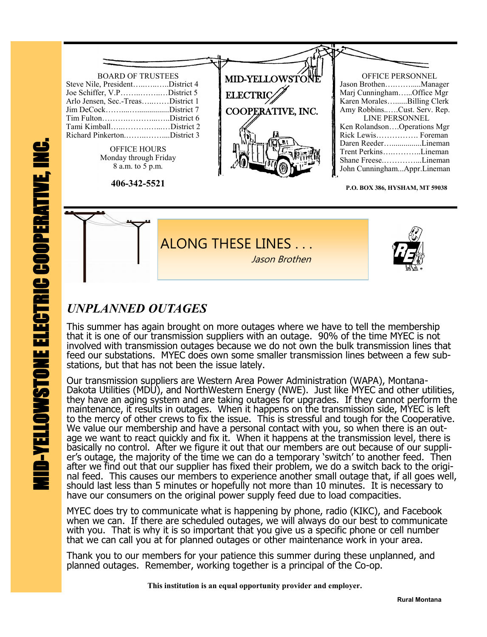

ALONG THESE LINES . Jason Brothen

## *UNPLANNED OUTAGES*

This summer has again brought on more outages where we have to tell the membership that it is one of our transmission suppliers with an outage. 90% of the time MYEC is not involved with transmission outages because we do not own the bulk transmission lines that feed our substations. MYEC does own some smaller transmission lines between a few substations, but that has not been the issue lately.

Our transmission suppliers are Western Area Power Administration (WAPA), Montana-Dakota Utilities (MDU), and NorthWestern Energy (NWE). Just like MYEC and other utilities, they have an aging system and are taking outages for upgrades. If they cannot perform the maintenance, it results in outages. When it happens on the transmission side, MYEC is left to the mercy of other crews to fix the issue. This is stressful and tough for the Cooperative. We value our membership and have a personal contact with you, so when there is an outage we want to react quickly and fix it. When it happens at the transmission level, there is basically no control. After we figure it out that our members are out because of our supplier's outage, the majority of the time we can do a temporary 'switch' to another feed. Then after we find out that our supplier has fixed their problem, we do a switch back to the original feed. This causes our members to experience another small outage that, if all goes well, should last less than 5 minutes or hopefully not more than 10 minutes. It is necessary to have our consumers on the original power supply feed due to load compacities.

MYEC does try to communicate what is happening by phone, radio (KIKC), and Facebook when we can. If there are scheduled outages, we will always do our best to communicate with you. That is why it is so important that you give us a specific phone or cell number that we can call you at for planned outages or other maintenance work in your area.

Thank you to our members for your patience this summer during these unplanned, and planned outages. Remember, working together is a principal of the Co-op.

 **This institution is an equal opportunity provider and employer.**